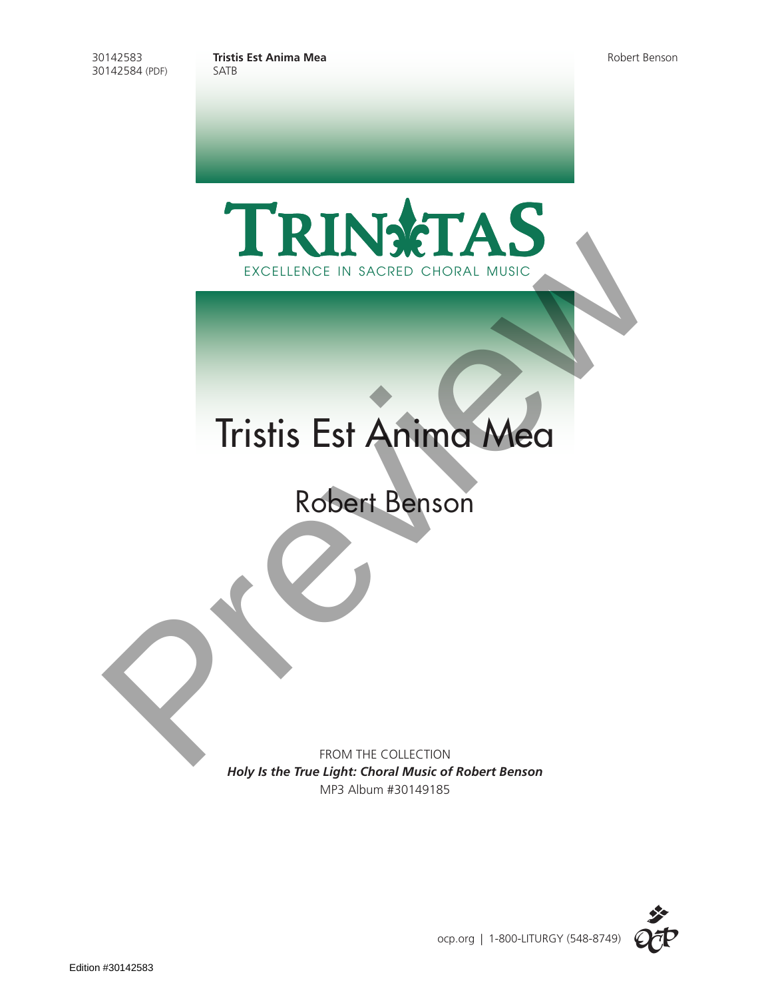30142583 **Tristis Est Anima Mea** Robert Benson





## Tristis Est Anima Mea

FROM THE COLLECTION *Holy Is the True Light: Choral Music of Robert Benson* MP3 Album #30149185

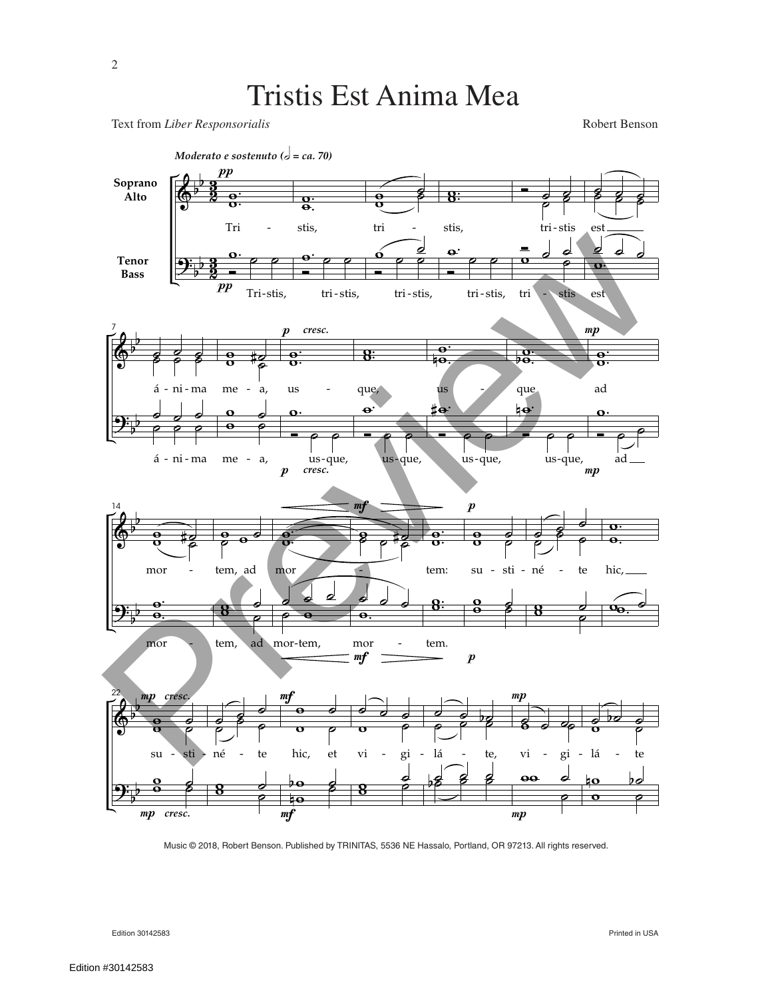## Tristis Est Anima Mea

Text from *Liber Responsorialis* Robert Benson



Music © 2018, Robert Benson. Published by TRINITAS, 5536 NE Hassalo, Portland, OR 97213. All rights reserved.

Edition 30142583 Printed in USA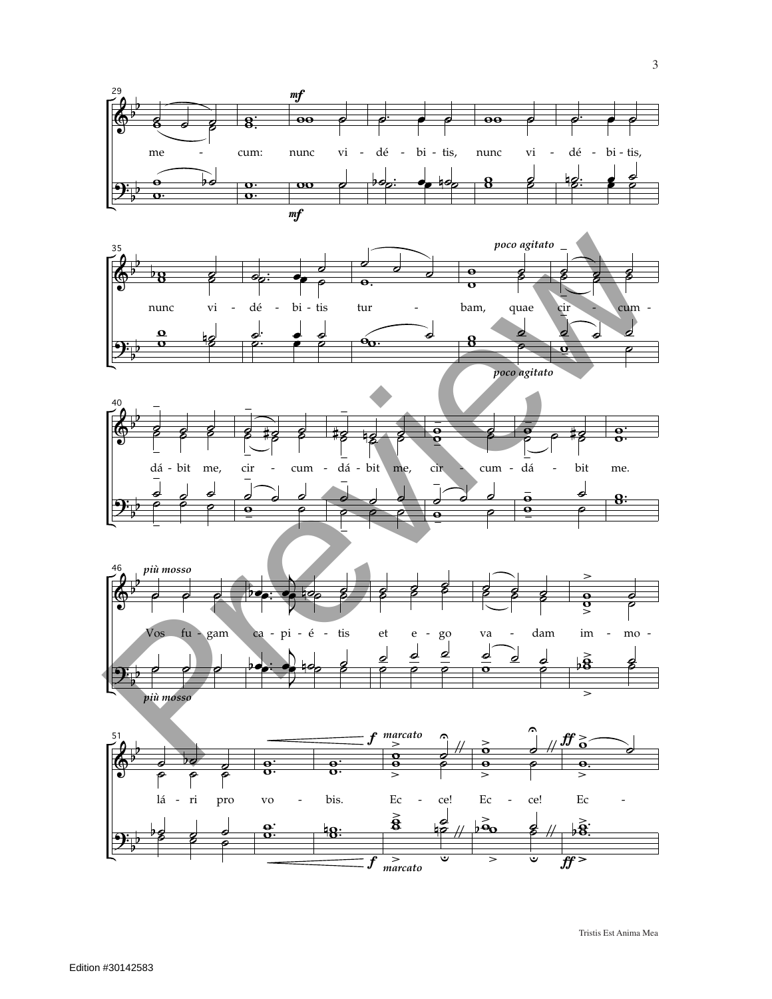









Tristis Est Anima Mea